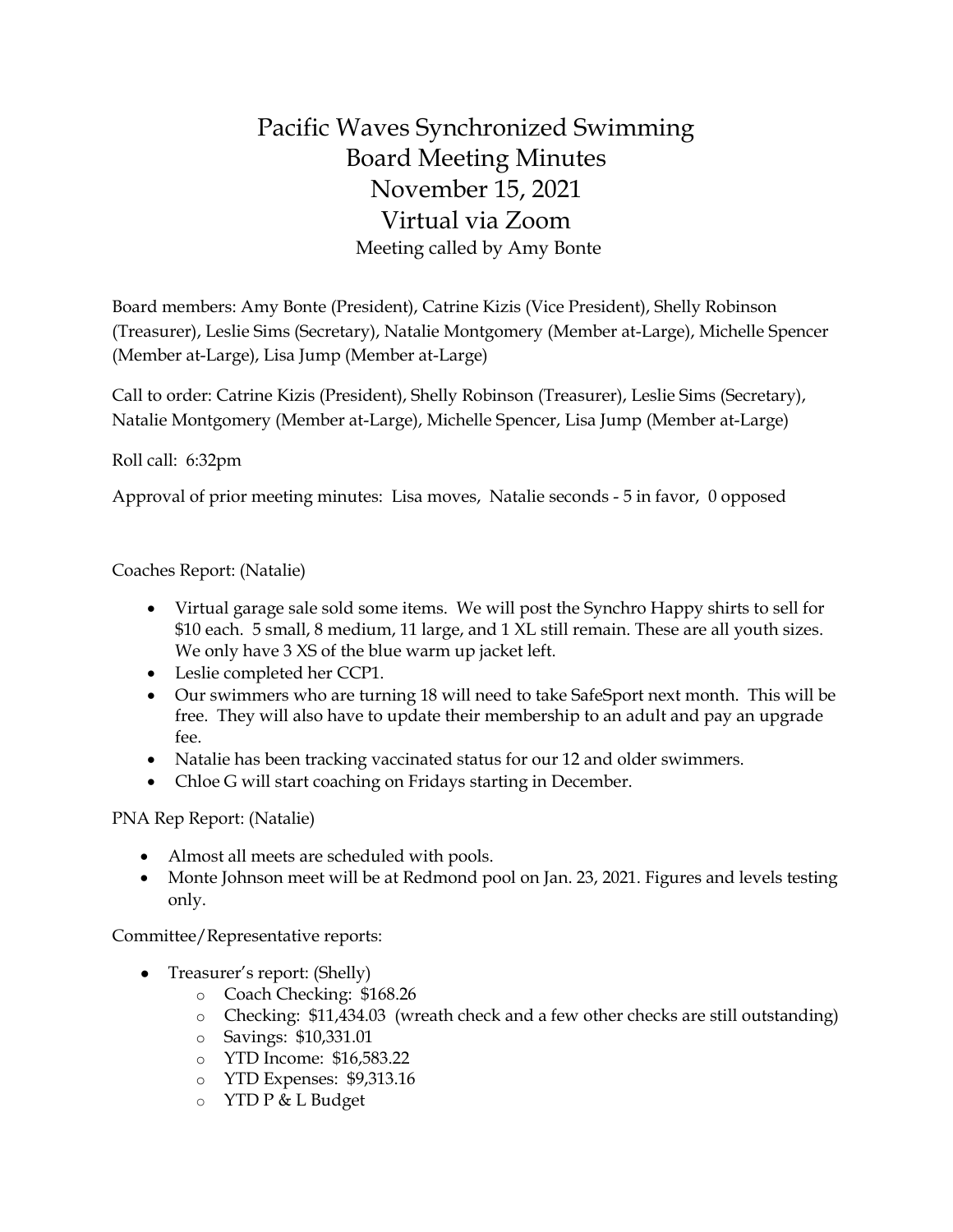## Pacific Waves Synchronized Swimming Board Meeting Minutes November 15, 2021 Virtual via Zoom Meeting called by Amy Bonte

Board members: Amy Bonte (President), Catrine Kizis (Vice President), Shelly Robinson (Treasurer), Leslie Sims (Secretary), Natalie Montgomery (Member at-Large), Michelle Spencer (Member at-Large), Lisa Jump (Member at-Large)

Call to order: Catrine Kizis (President), Shelly Robinson (Treasurer), Leslie Sims (Secretary), Natalie Montgomery (Member at-Large), Michelle Spencer, Lisa Jump (Member at-Large)

Roll call: 6:32pm

Approval of prior meeting minutes: Lisa moves, Natalie seconds - 5 in favor, 0 opposed

Coaches Report: (Natalie)

- Virtual garage sale sold some items. We will post the Synchro Happy shirts to sell for \$10 each. 5 small, 8 medium, 11 large, and 1 XL still remain. These are all youth sizes. We only have 3 XS of the blue warm up jacket left.
- Leslie completed her CCP1.
- Our swimmers who are turning 18 will need to take SafeSport next month. This will be free. They will also have to update their membership to an adult and pay an upgrade fee.
- Natalie has been tracking vaccinated status for our 12 and older swimmers.
- Chloe G will start coaching on Fridays starting in December.

PNA Rep Report: (Natalie)

- Almost all meets are scheduled with pools.
- Monte Johnson meet will be at Redmond pool on Jan. 23, 2021. Figures and levels testing only.

Committee/Representative reports:

- Treasurer's report: (Shelly)
	- o Coach Checking: \$168.26
	- o Checking: \$11,434.03 (wreath check and a few other checks are still outstanding)
	- o Savings: \$10,331.01
	- o YTD Income: \$16,583.22
	- o YTD Expenses: \$9,313.16
	- o YTD P & L Budget